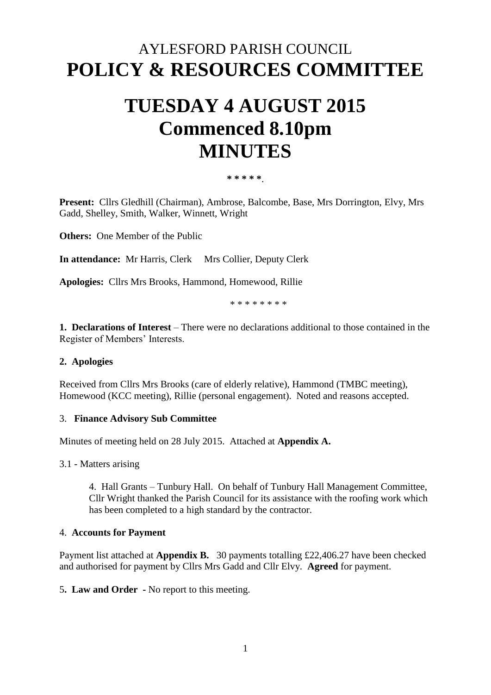# AYLESFORD PARISH COUNCIL **POLICY & RESOURCES COMMITTEE**

# **TUESDAY 4 AUGUST 2015 Commenced 8.10pm MINUTES**

**\* \* \* \* \***.

**Present:** Cllrs Gledhill (Chairman), Ambrose, Balcombe, Base, Mrs Dorrington, Elvy, Mrs Gadd, Shelley, Smith, Walker, Winnett, Wright

**Others:** One Member of the Public

**In attendance:** Mr Harris, Clerk Mrs Collier, Deputy Clerk

**Apologies:** Cllrs Mrs Brooks, Hammond, Homewood, Rillie

\* \* \* \* \* \* \* \*

**1. Declarations of Interest** – There were no declarations additional to those contained in the Register of Members' Interests.

#### **2. Apologies**

Received from Cllrs Mrs Brooks (care of elderly relative), Hammond (TMBC meeting), Homewood (KCC meeting), Rillie (personal engagement). Noted and reasons accepted.

#### 3. **Finance Advisory Sub Committee**

Minutes of meeting held on 28 July 2015. Attached at **Appendix A.** 

3.1 - Matters arising

4. Hall Grants – Tunbury Hall. On behalf of Tunbury Hall Management Committee, Cllr Wright thanked the Parish Council for its assistance with the roofing work which has been completed to a high standard by the contractor.

#### 4. **Accounts for Payment**

Payment list attached at **Appendix B.** 30 payments totalling £22,406.27 have been checked and authorised for payment by Cllrs Mrs Gadd and Cllr Elvy. **Agreed** for payment.

5**. Law and Order -** No report to this meeting.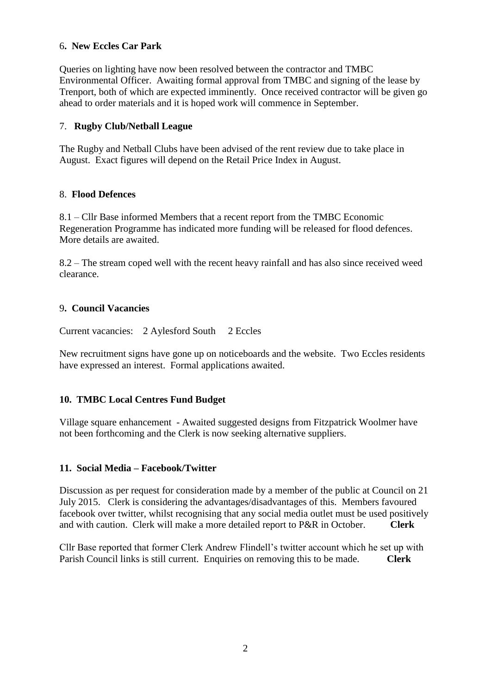## 6**. New Eccles Car Park**

Queries on lighting have now been resolved between the contractor and TMBC Environmental Officer. Awaiting formal approval from TMBC and signing of the lease by Trenport, both of which are expected imminently. Once received contractor will be given go ahead to order materials and it is hoped work will commence in September.

## 7. **Rugby Club/Netball League**

The Rugby and Netball Clubs have been advised of the rent review due to take place in August. Exact figures will depend on the Retail Price Index in August.

#### 8. **Flood Defences**

8.1 – Cllr Base informed Members that a recent report from the TMBC Economic Regeneration Programme has indicated more funding will be released for flood defences. More details are awaited.

8.2 – The stream coped well with the recent heavy rainfall and has also since received weed clearance.

#### 9**. Council Vacancies**

Current vacancies: 2 Aylesford South 2 Eccles

New recruitment signs have gone up on noticeboards and the website. Two Eccles residents have expressed an interest. Formal applications awaited.

# **10. TMBC Local Centres Fund Budget**

Village square enhancement - Awaited suggested designs from Fitzpatrick Woolmer have not been forthcoming and the Clerk is now seeking alternative suppliers.

#### **11. Social Media – Facebook/Twitter**

Discussion as per request for consideration made by a member of the public at Council on 21 July 2015. Clerk is considering the advantages/disadvantages of this. Members favoured facebook over twitter, whilst recognising that any social media outlet must be used positively and with caution. Clerk will make a more detailed report to P&R in October. **Clerk**

Cllr Base reported that former Clerk Andrew Flindell's twitter account which he set up with Parish Council links is still current. Enquiries on removing this to be made. **Clerk**